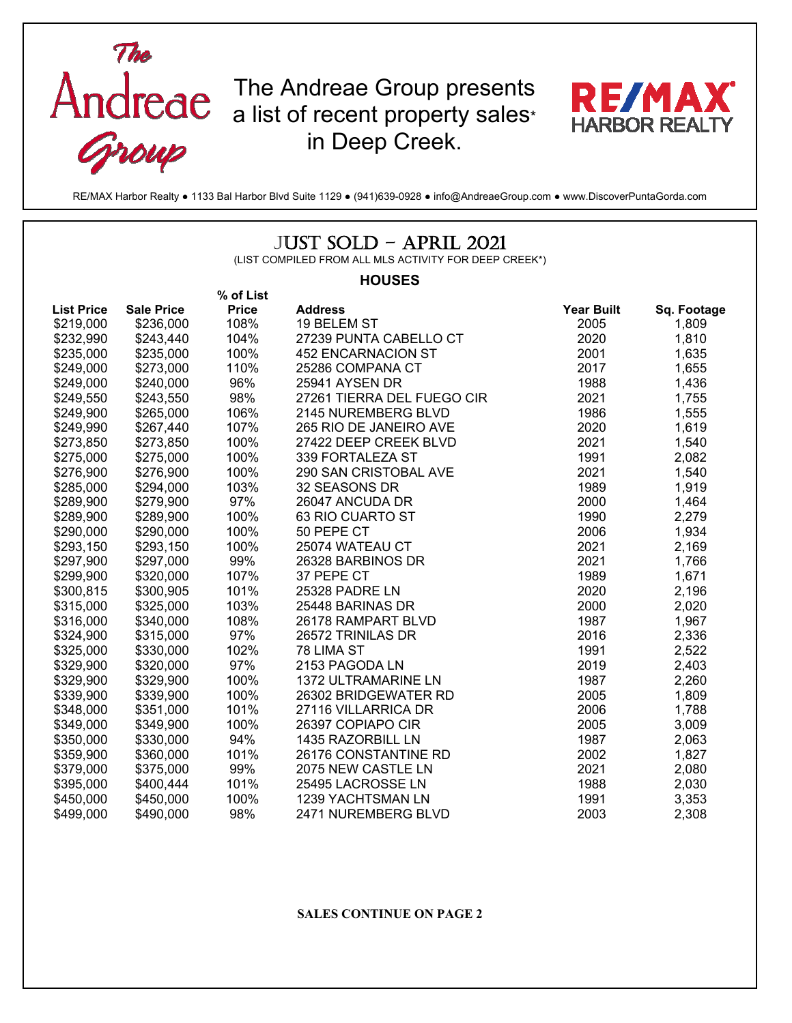

RE/MAX Harbor Realty ● 1133 Bal Harbor Blvd Suite 1129 ● (941)639-0928 ● info@AndreaeGroup.com ● www.DiscoverPuntaGorda.com

## JUST SOLD – APRIL 2021

(LIST COMPILED FROM ALL MLS ACTIVITY FOR DEEP CREEK\*)

## **HOUSES**

|                   |                   | % of List    |                            |                   |             |
|-------------------|-------------------|--------------|----------------------------|-------------------|-------------|
| <b>List Price</b> | <b>Sale Price</b> | <b>Price</b> | <b>Address</b>             | <b>Year Built</b> | Sq. Footage |
| \$219,000         | \$236,000         | 108%         | 19 BELEM ST                | 2005              | 1,809       |
| \$232,990         | \$243,440         | 104%         | 27239 PUNTA CABELLO CT     | 2020              | 1,810       |
| \$235,000         | \$235,000         | 100%         | <b>452 ENCARNACION ST</b>  | 2001              | 1,635       |
| \$249,000         | \$273,000         | 110%         | 25286 COMPANA CT           | 2017              | 1,655       |
| \$249,000         | \$240,000         | 96%          | 25941 AYSEN DR             | 1988              | 1,436       |
| \$249,550         | \$243,550         | 98%          | 27261 TIERRA DEL FUEGO CIR | 2021              | 1,755       |
| \$249,900         | \$265,000         | 106%         | 2145 NUREMBERG BLVD        | 1986              | 1,555       |
| \$249,990         | \$267,440         | 107%         | 265 RIO DE JANEIRO AVE     | 2020              | 1,619       |
| \$273,850         | \$273,850         | 100%         | 27422 DEEP CREEK BLVD      | 2021              | 1,540       |
| \$275,000         | \$275,000         | 100%         | 339 FORTALEZA ST           | 1991              | 2,082       |
| \$276,900         | \$276,900         | 100%         | 290 SAN CRISTOBAL AVE      | 2021              | 1,540       |
| \$285,000         | \$294,000         | 103%         | 32 SEASONS DR              | 1989              | 1,919       |
| \$289,900         | \$279,900         | 97%          | 26047 ANCUDA DR            | 2000              | 1,464       |
| \$289,900         | \$289,900         | 100%         | 63 RIO CUARTO ST           | 1990              | 2,279       |
| \$290,000         | \$290,000         | 100%         | 50 PEPE CT                 | 2006              | 1,934       |
| \$293,150         | \$293,150         | 100%         | 25074 WATEAU CT            | 2021              | 2,169       |
| \$297,900         | \$297,000         | 99%          | 26328 BARBINOS DR          | 2021              | 1,766       |
| \$299,900         | \$320,000         | 107%         | 37 PEPE CT                 | 1989              | 1,671       |
| \$300,815         | \$300,905         | 101%         | 25328 PADRE LN             | 2020              | 2,196       |
| \$315,000         | \$325,000         | 103%         | 25448 BARINAS DR           | 2000              | 2,020       |
| \$316,000         | \$340,000         | 108%         | 26178 RAMPART BLVD         | 1987              | 1,967       |
| \$324,900         | \$315,000         | 97%          | 26572 TRINILAS DR          | 2016              | 2,336       |
| \$325,000         | \$330,000         | 102%         | 78 LIMA ST                 | 1991              | 2,522       |
| \$329,900         | \$320,000         | 97%          | 2153 PAGODA LN             | 2019              | 2,403       |
| \$329,900         | \$329,900         | 100%         | 1372 ULTRAMARINE LN        | 1987              | 2,260       |
| \$339,900         | \$339,900         | 100%         | 26302 BRIDGEWATER RD       | 2005              | 1,809       |
| \$348,000         | \$351,000         | 101%         | 27116 VILLARRICA DR        | 2006              | 1,788       |
| \$349,000         | \$349,900         | 100%         | 26397 COPIAPO CIR          | 2005              | 3,009       |
| \$350,000         | \$330,000         | 94%          | 1435 RAZORBILL LN          | 1987              | 2,063       |
| \$359,900         | \$360,000         | 101%         | 26176 CONSTANTINE RD       | 2002              | 1,827       |
| \$379,000         | \$375,000         | 99%          | 2075 NEW CASTLE LN         | 2021              | 2,080       |
| \$395,000         | \$400,444         | 101%         | 25495 LACROSSE LN          | 1988              | 2,030       |
| \$450,000         | \$450,000         | 100%         | 1239 YACHTSMAN LN          | 1991              | 3,353       |
| \$499,000         | \$490,000         | 98%          | 2471 NUREMBERG BLVD        | 2003              | 2,308       |

## **SALES CONTINUE ON PAGE 2**